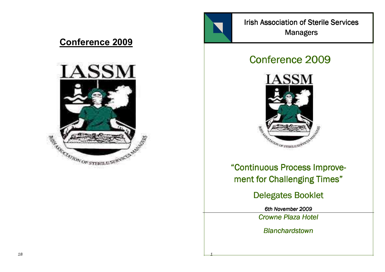# Conference 2009



Irish Association of Sterile Services **Managers** 

# Conference 2009



"Continuous Process Improvement for Challenging Times"

Delegates Booklet

6th November 2009

Crowne Plaza Hotel

**Blanchardstown** 

1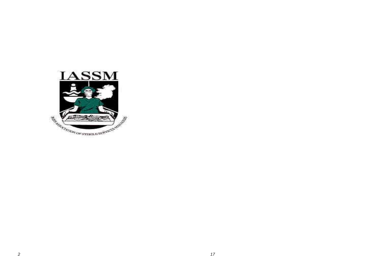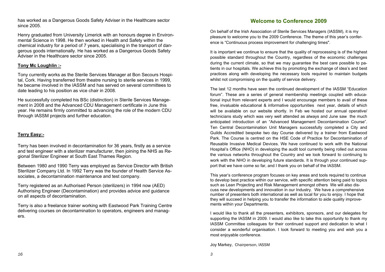has worked as a Dangerous Goods Safety Adviser in the Healthcare sector since 2005.

Henry graduated from University Limerick with an honours degree in Environmental Science in 1998. He then worked in Health and Safety within the chemical industry for a period of 7 years, specialising in the transport of dangerous goods internationally. He has worked as a Dangerous Goods Safety Adviser in the Healthcare sector since 2005.

#### Tony Mc Loughlin :-

Tony currently works as the Sterile Services Manager at Bon Secours Hospital, Cork. Having transferred from theatre nursing to sterile services in 1999, he became involved in the IASSM and has served on several committees to date leading to his position as vice chair in 2008.

He successfully completed his BSc (distinction) in Sterile Services Management in 2008 and the Advanced CDU Management certificate in June this year. He remains firmly committed to advancing the role of the modern CDU through IASSM projects and further education.

#### Terry Easy:-

Terry has been involved in decontamination for 36 years, firstly as a service and test engineer with a sterilizer manufacturer, then joining the NHS as Regional Sterilizer Engineer at South East Thames Region.

Between 1980 and 1990 Terry was employed as Service Director with British Sterilizer Company Ltd. In 1992 Terry was the founder of Health Service Associates, a decontamination maintenance and test company.

Terry registered as an Authorised Person (sterilizers) in 1994 now (AED) Authorising Engineer (Decontamination) and provides advice and guidance on all aspects of decontamination.

Terry is also a freelance trainer working with Eastwood Park Training Centre delivering courses on decontamination to operators, engineers and managers.

#### Welcome to Conference 2009

On behalf of the Irish Association of Sterile Services Managers (IASSM), it is my pleasure to welcome you to the 2009 Conference. The theme of this year's conference is "Continuous process improvement for challenging times".

It is important we continue to ensure that the quality of reprocessing is of the highest possible standard throughout the Country, regardless of the economic challenges during the current climate, so that we may guarantee the best care possible to patients in our hospitals. We achieve this by promoting the exchange of idea's and best practices along with developing the necessary tools required to maintain budgets whilst not compromising on the quality of service delivery.

The last 12 months have seen the continued development of the IASSM "Education forum". These are a series of general membership meetings coupled with educational input from relevant experts and I would encourage members to avail of these free, invaluable educational & informative opportunities next year, details of which will be available on our website shortly. In Feb we hosted our annual operative/technicians study which was very well attended as always and June saw the much anticipated introduction of an "Advanced Management Decontamination Course". Ten Central Decontamination Unit Managers successfully completed a City and Guilds Accredited bespoke two day Course delivered by a trainer from Eastwood Park. The Course is centred on the HSE Code of Practice for Decontamination of Reusable Invasive Medical Devices. We have continued to work with the National Hospital's Office (NHO) in developing the audit tool currently being rolled out across the various networks throughout the Country and we look forward to continuing to work with the NHO in developing future standards. It is through your continued support that we have come so far, and I thank you on behalf of the IASSM.

This year's conference program focuses on key areas and tools required to continue to develop best practice within our service, with specific attention being paid to topics such as Lean Projecting and Risk Management amongst others We will also discuss new developments and innovation in our Industry. We have a comprehensive number of presenters both international as well as local for you to enjoy. I hope that they will succeed in helping you to transfer the information to aide quality improvements within your Departments.

I would like to thank all the presenters, exhibitors, sponsors, and our delegates for supporting the IASSM in 2009. I would also like to take this opportunity to thank my IASSM Committee colleagues for their continued support and dedication to what I consider a wonderful organisation. I look forward to meeting you and wish you a most enjoyable conference.

Joy Markey, Chairperson, IASSM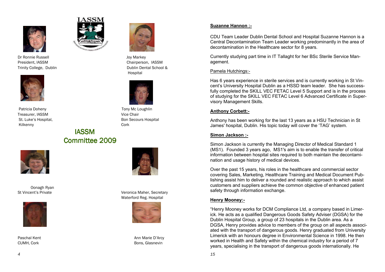

Dr Ronnie Russell Joy Markey President, IASSM **Chairperson**, IASSM



Patricia Doheny **Tony Mc Loughlin** Treasurer, IASSM Vice Chair Kilkenny **Cork** 

# IASSM**Committee 2009**



Oonagh Ryan







Trinity College, Dublin Dublin Dental School & Hospital



St. Luke's Hospital. The Contract of the Bon Secours Hospital



St Vincent's Private **Veronica Maher, Secretary** Veronica Maher, Secretary Waterford Reg. Hospital



Paschal Kent Ann Marie D'Arcy (Ann Marie D'Arcy Ann Marie D'Arcy Ann Marie D'Arcy Ann Marie D'Arcy Ann Marie D CUMH, Cork Bons, Glasnevin

#### Suzanne Hannon :-

CDU Team Leader Dublin Dental School and Hospital Suzanne Hannon is a Central Decontamination Team Leader working predominantly in the area of decontamination in the Healthcare sector for 8 years.

Currently studying part time in IT Tallaght for her BSc Sterile Service Management.

#### Pamela Hutchings:-

Has 6 years experience in sterile services and is currently working in St Vincent's University Hospital Dublin as a HSSD team leader. She has successfully completed the SKILL VEC FETAC Level 5 Support and is in the process of studying for the SKILL VEC FETAC Level 6 Advanced Certificate in Supervisory Management Skills.

#### Anthony Corbett:-

Anthony has been working for the last 13 years as a HSU Technician in St James' hospital, Dublin. His topic today will cover the 'TAG' system.

#### Simon Jackson :-

Simon Jackson is currently the Managing Director of Medical Standard 1 (MS1). Founded 3 years ago, MS1's aim is to enable the transfer of critical information between hospital sites required to both maintain the decontamination and usage history of medical devices.

Over the past 15 years, his roles in the healthcare and commercial sector covering Sales, Marketing, Healthcare Training and Medical Document Publishing assist him to deliver a rounded and realistic approach to which assist customers and suppliers achieve the common objective of enhanced patient safety through information exchange.

#### Henry Mooney:-

"Henry Mooney works for DCM Compliance Ltd, a company based in Limerick. He acts as a qualified Dangerous Goods Safety Adviser (DGSA) for the Dublin Hospital Group, a group of 23 hospitals in the Dublin area. As a DGSA, Henry provides advice to members of the group on all aspects associated with the transport of dangerous goods. Henry graduated from University Limerick with an honours degree in Environmental Science in 1998. He then worked in Health and Safety within the chemical industry for a period of 7 years, specialising in the transport of dangerous goods internationally. He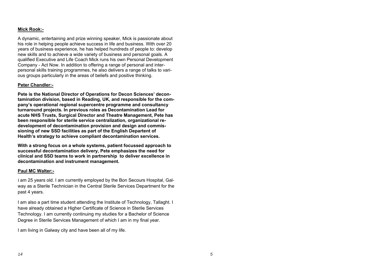#### Mick Rook:-

A dynamic, entertaining and prize winning speaker, Mick is passionate about his role in helping people achieve success in life and business. With over 20 years of business experience, he has helped hundreds of people to: develop new skills and to achieve a wide variety of business and personal goals. A qualified Executive and Life Coach Mick runs his own Personal Development Company - Act Now. In addition to offering a range of personal and interpersonal skills training programmes, he also delivers a range of talks to various groups particularly in the areas of beliefs and positive thinking.

#### Peter Chandler:-

Pete is the National Director of Operations for Decon Sciences' decontamination division, based in Reading, UK, and responsible for the company's operational regional supercentre programme and consultancy turnaround projects. In previous roles as Decontamination Lead for acute NHS Trusts, Surgical Director and Theatre Management, Pete has been responsible for sterile service centralization, organizational redevelopment of decontamination provision and design and commissioning of new SSD facilities as part of the English Departent of Health's strategy to achieve compliant decontamination services.

With a strong focus on a whole systems, patient focussed approach to successful decontamination delivery, Pete emphasizes the need for clinical and SSD teams to work in partnership to deliver excellence in decontamination and instrument management.

#### Paul MC Walter:-

I am 25 years old. I am currently employed by the Bon Secours Hospital, Galway as a Sterile Technician in the Central Sterile Services Department for the past 4 years.

I am also a part time student attending the Institute of Technology, Tallaght. I have already obtained a Higher Certificate of Science in Sterile Services Technology. I am currently continuing my studies for a Bachelor of Science Degree in Sterile Services Management of which I am in my final year.

I am living in Galway city and have been all of my life.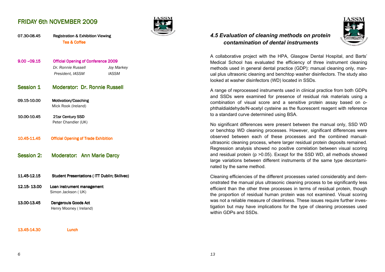### **FRIDAY 6th NOVEMBER 2009**



07.30-08.45 Registration & Exhibition Viewing 08.45 Registration & Exhibition ViewingTea & Coffee

- 9.00 –09.15 Official Opening of Conference 2009 **Joy Markey** Dr. Ronnie Russell President, IASSM **IASSM**
- Session 1 Moderator: Dr. Ronnie Russell
- 09.15-10.00 Motivation/Coaching Mick Rook (Ireland)
- 10.00-10.45 21sr Century SSD 10.45 21sr Century SSD 10.45 21sr Century SSD Peter Chandler (UK)
- 10.45-11.45**Official Opening of Trade Exhibition**
- Session 2: Moderator: Ann Marie Darcy
- 11.45-12.15 Student Presentations ( ITT Dublin; Skillvec)
- 12.15- 13.00 Loan instrument management Simon Jackson ( UK)
- 13.00-13.45 Dangerouis Goods Act Henry Mooney ( Ireland)

#### 13.45-14.30 Lunch

### 4.5 Evaluation of cleaning methods on protein contamination of dental instruments



A collaborative project with the HPA, Glasgow Dental Hospital, and Barts' Medical School has evaluated the efficiency of three instrument cleaning methods used in general dental practice (GDP): manual cleaning only, manual plus ultrasonic cleaning and benchtop washer disinfectors. The study also looked at washer disinfectors (WD) located in SSDs.

A range of reprocessed instruments used in clinical practice from both GDPs and SSDs were examined for presence of residual risk materials using a combination of visual score and a sensitive protein assay based on ophthaldialdehyde/N-acetyl cysteine as the fluorescent reagent with reference to a standard curve determined using BSA.

No significant differences were present between the manual only, SSD WD or benchtop WD cleaning processes. However, significant differences were observed between each of these processes and the combined manualultrasonic cleaning process, where larger residual protein deposits remained. Regression analysis showed no positive correlation between visual scoring and residual protein (p >0.05). Except for the SSD WD, all methods showed large variations between different instruments of the same type decontaminated by the same method.

Cleaning efficiencies of the different processes varied considerably and demonstrated the manual plus ultrasonic cleaning process to be significantly less efficient than the other three processes in terms of residual protein, though the proportion of residual human protein was not examined. Visual scoring was not a reliable measure of cleanliness. These issues require further investigation but may have implications for the type of cleaning processes used within GDPs and SSDs.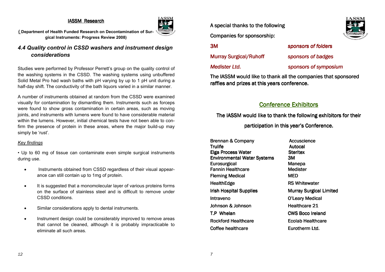#### IASSM Research



( Department of Health Funded Research on Decontamination of Surgical Instruments: Progress Review 2008)

### 4.4 Quality control in CSSD washers and instrument design considerations

Studies were performed by Professor Perrett's group on the quality control of the washing systems in the CSSD. The washing systems using unbuffered Solid Metal Pro had wash baths with pH varying by up to 1 pH unit during a half-day shift. The conductivity of the bath liquors varied in a similar manner.

A number of instruments obtained at random from the CSSD were examined visually for contamination by dismantling them. Instruments such as forceps were found to show gross contamination in certain areas, such as moving joints, and instruments with lumens were found to have considerable material within the lumens. However, initial chemical tests have not been able to confirm the presence of protein in these areas, where the major build-up may simply be 'rust'.

#### Key findings

• Up to 60 mg of tissue can contaminate even simple surgical instruments during use.

- Instruments obtained from CSSD regardless of their visual appearance can still contain up to 1mg of protein.
- It is suggested that a monomolecular layer of various proteins forms on the surface of stainless steel and is difficult to remove under CSSD conditions.
- Similar considerations apply to dental instruments.
- Instrument design could be considerably improved to remove areas that cannot be cleaned, although it is probably impracticable to eliminate all such areas.

A special thanks to the following

Companies for sponsorship:

3M

**Murray Surgical/Ruhoff** 

Medister Ltd. Sponsors of symposium sponsors of symposium

sponsors of folders

sponsors of badges

The IASSM would like to thank all the companies that sponsored raffles and prizes at this years conference.

## Conference Exhibitors

The IASSM would like to thank the following exhibitors for their

participation in this year's Conference.

Brennan & Company **Brennan & Company** Accuscience **Trulife Autocal Autocal** Elga Process Water **Environmental Water Systems 3M** Eurosurgical Eurosurgical Manepa Fannin Healthcare Fleming Medical Fleming Medical MED HealthEdge **RS Whitewater** RS Whitewater Irish Hospital Supplies **Hospital Supplies** Murray Surgical Limited Intraveno **Intraveno** O'Leary Medical Johnson & Johnson T.P Whelan Whelan CWS Boco Ireland **Rockford Healthcare** Coffee healthcare

**Steritex**  Medister Healthcare 21 Ecolab Healthcare Eurotherm Ltd.

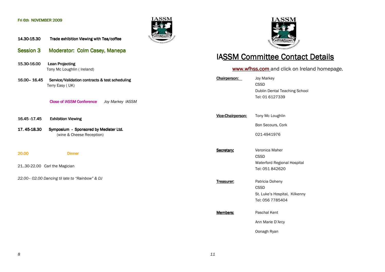#### Fri 6th NOVEMBER 2009



14.30-15.30 Trade exhibition Viewing with Tea/coffee

- Session 3 Moderator: Colm Casey, Manepa
- 15.30-16.00 Lean Projecting Tony Mc Loughlin ( Ireland)
- 16.00- 16.45 Service/Validation contracts & test scheduling Terry Easy ( UK)

Close of IASSM Conference Joy Markey IASSM

- 16.45 17.45 **Exhibition Viewing**
- 17. 45-Symposium - Sponsored by Medister Ltd. (wine & Cheese Reception)

20.00 20.00 Dinner

21..30-22.00 Carl the Magician

22.00– 02.00 Dancing til late to "Rainbow" & DJ



# IA<u>SSM Committee Contact Details</u>

# www.wfhss.com and click on Ireland homepage.

| Chairperson:      | <b>Joy Markey</b><br><b>CSSD</b><br>Dublin Dental Teaching School<br>Tel: 01 6127339 |
|-------------------|--------------------------------------------------------------------------------------|
| Vice-Chairperson: | Tony Mc Loughlin                                                                     |
|                   | Bon Secours, Cork                                                                    |
|                   | 021-4941976                                                                          |
| Secretary:        | Veronica Maher<br><b>CSSD</b><br>Waterford Regional Hospital<br>Tel: 051 842620      |
| Treasurer:        | Patricia Doheny<br>CSSD<br>St. Luke's Hospital, Kilkenny<br>Tel: 056 7785404         |
| Members:          | Paschal Kent<br>Ann Marie D'Arcy                                                     |
|                   | Oonagh Ryan                                                                          |